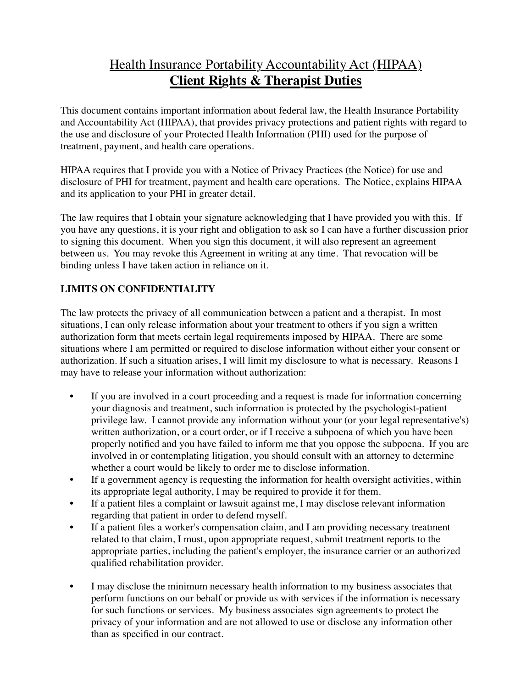# Health Insurance Portability Accountability Act (HIPAA) **Client Rights & Therapist Duties**

This document contains important information about federal law, the Health Insurance Portability and Accountability Act (HIPAA), that provides privacy protections and patient rights with regard to the use and disclosure of your Protected Health Information (PHI) used for the purpose of treatment, payment, and health care operations.

HIPAA requires that I provide you with a Notice of Privacy Practices (the Notice) for use and disclosure of PHI for treatment, payment and health care operations. The Notice, explains HIPAA and its application to your PHI in greater detail.

The law requires that I obtain your signature acknowledging that I have provided you with this. If you have any questions, it is your right and obligation to ask so I can have a further discussion prior to signing this document. When you sign this document, it will also represent an agreement between us. You may revoke this Agreement in writing at any time. That revocation will be binding unless I have taken action in reliance on it.

## **LIMITS ON CONFIDENTIALITY**

The law protects the privacy of all communication between a patient and a therapist. In most situations, I can only release information about your treatment to others if you sign a written authorization form that meets certain legal requirements imposed by HIPAA. There are some situations where I am permitted or required to disclose information without either your consent or authorization. If such a situation arises, I will limit my disclosure to what is necessary. Reasons I may have to release your information without authorization:

- If you are involved in a court proceeding and a request is made for information concerning your diagnosis and treatment, such information is protected by the psychologist-patient privilege law. I cannot provide any information without your (or your legal representative's) written authorization, or a court order, or if I receive a subpoena of which you have been properly notified and you have failed to inform me that you oppose the subpoena. If you are involved in or contemplating litigation, you should consult with an attorney to determine whether a court would be likely to order me to disclose information.
- If a government agency is requesting the information for health oversight activities, within its appropriate legal authority, I may be required to provide it for them.
- If a patient files a complaint or lawsuit against me, I may disclose relevant information regarding that patient in order to defend myself.
- If a patient files a worker's compensation claim, and I am providing necessary treatment related to that claim, I must, upon appropriate request, submit treatment reports to the appropriate parties, including the patient's employer, the insurance carrier or an authorized qualified rehabilitation provider.
- I may disclose the minimum necessary health information to my business associates that perform functions on our behalf or provide us with services if the information is necessary for such functions or services. My business associates sign agreements to protect the privacy of your information and are not allowed to use or disclose any information other than as specified in our contract.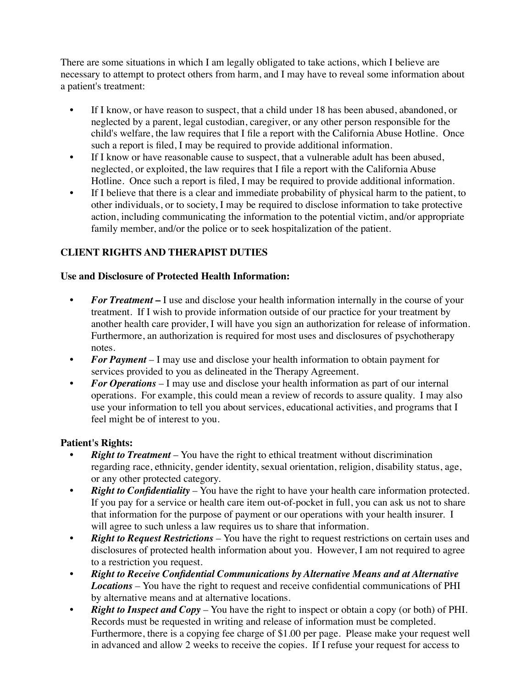There are some situations in which I am legally obligated to take actions, which I believe are necessary to attempt to protect others from harm, and I may have to reveal some information about a patient's treatment:

- If I know, or have reason to suspect, that a child under 18 has been abused, abandoned, or neglected by a parent, legal custodian, caregiver, or any other person responsible for the child's welfare, the law requires that I file a report with the California Abuse Hotline. Once such a report is filed, I may be required to provide additional information.
- If I know or have reasonable cause to suspect, that a vulnerable adult has been abused, neglected, or exploited, the law requires that I file a report with the California Abuse Hotline. Once such a report is filed, I may be required to provide additional information.
- If I believe that there is a clear and immediate probability of physical harm to the patient, to other individuals, or to society, I may be required to disclose information to take protective action, including communicating the information to the potential victim, and/or appropriate family member, and/or the police or to seek hospitalization of the patient.

### **CLIENT RIGHTS AND THERAPIST DUTIES**

#### **Use and Disclosure of Protected Health Information:**

- For Treatment I use and disclose your health information internally in the course of your treatment. If I wish to provide information outside of our practice for your treatment by another health care provider, I will have you sign an authorization for release of information. Furthermore, an authorization is required for most uses and disclosures of psychotherapy notes.
- *For Payment* I may use and disclose your health information to obtain payment for services provided to you as delineated in the Therapy Agreement.
- *For Operations* I may use and disclose your health information as part of our internal operations. For example, this could mean a review of records to assure quality. I may also use your information to tell you about services, educational activities, and programs that I feel might be of interest to you.

#### **Patient's Rights:**

- *Right to Treatment* You have the right to ethical treatment without discrimination regarding race, ethnicity, gender identity, sexual orientation, religion, disability status, age, or any other protected category.
- *Right to Confidentiality* You have the right to have your health care information protected. If you pay for a service or health care item out-of-pocket in full, you can ask us not to share that information for the purpose of payment or our operations with your health insurer. I will agree to such unless a law requires us to share that information.
- *Right to Request Restrictions –* You have the right to request restrictions on certain uses and disclosures of protected health information about you. However, I am not required to agree to a restriction you request.
- *Right to Receive Confidential Communications by Alternative Means and at Alternative Locations –* You have the right to request and receive confidential communications of PHI by alternative means and at alternative locations.
- *Right to Inspect and Copy* You have the right to inspect or obtain a copy (or both) of PHI. Records must be requested in writing and release of information must be completed. Furthermore, there is a copying fee charge of \$1.00 per page. Please make your request well in advanced and allow 2 weeks to receive the copies. If I refuse your request for access to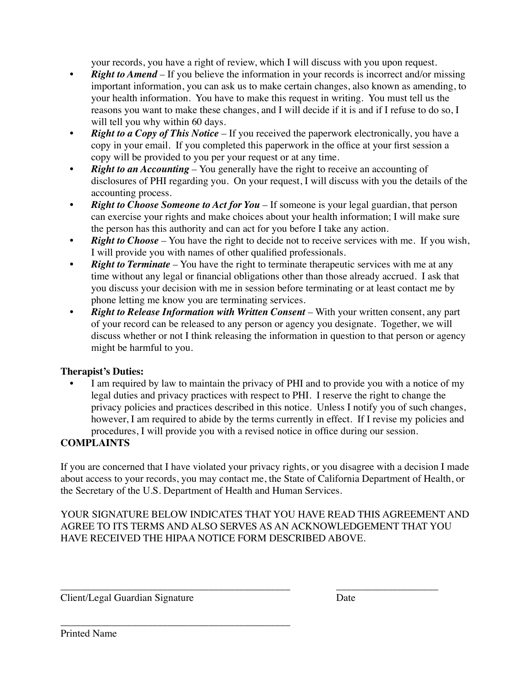your records, you have a right of review, which I will discuss with you upon request.

- *Right to Amend* If you believe the information in your records is incorrect and/or missing important information, you can ask us to make certain changes, also known as amending, to your health information. You have to make this request in writing. You must tell us the reasons you want to make these changes, and I will decide if it is and if I refuse to do so, I will tell you why within 60 days.
- *Right to a Copy of This Notice* If you received the paperwork electronically, you have a copy in your email. If you completed this paperwork in the office at your first session a copy will be provided to you per your request or at any time.
- *Right to an Accounting* You generally have the right to receive an accounting of disclosures of PHI regarding you. On your request, I will discuss with you the details of the accounting process.
- *Right to Choose Someone to Act for You –* If someone is your legal guardian, that person can exercise your rights and make choices about your health information; I will make sure the person has this authority and can act for you before I take any action.
- *Right to Choose* You have the right to decide not to receive services with me. If you wish, I will provide you with names of other qualified professionals.
- *Right to Terminate* You have the right to terminate therapeutic services with me at any time without any legal or financial obligations other than those already accrued. I ask that you discuss your decision with me in session before terminating or at least contact me by phone letting me know you are terminating services.
- *Right to Release Information with Written Consent –* With your written consent, any part of your record can be released to any person or agency you designate. Together, we will discuss whether or not I think releasing the information in question to that person or agency might be harmful to you.

#### **Therapist's Duties:**

I am required by law to maintain the privacy of PHI and to provide you with a notice of my legal duties and privacy practices with respect to PHI. I reserve the right to change the privacy policies and practices described in this notice. Unless I notify you of such changes, however, I am required to abide by the terms currently in effect. If I revise my policies and procedures, I will provide you with a revised notice in office during our session.

#### **COMPLAINTS**

If you are concerned that I have violated your privacy rights, or you disagree with a decision I made about access to your records, you may contact me, the State of California Department of Health, or the Secretary of the U.S. Department of Health and Human Services.

YOUR SIGNATURE BELOW INDICATES THAT YOU HAVE READ THIS AGREEMENT AND AGREE TO ITS TERMS AND ALSO SERVES AS AN ACKNOWLEDGEMENT THAT YOU HAVE RECEIVED THE HIPAA NOTICE FORM DESCRIBED ABOVE.

\_\_\_\_\_\_\_\_\_\_\_\_\_\_\_\_\_\_\_\_\_\_\_\_\_\_\_\_\_\_\_\_\_\_\_\_\_\_\_\_\_\_\_\_\_ \_\_\_\_\_\_\_\_\_\_\_\_\_\_\_\_\_\_\_\_

Client/Legal Guardian Signature Date

\_\_\_\_\_\_\_\_\_\_\_\_\_\_\_\_\_\_\_\_\_\_\_\_\_\_\_\_\_\_\_\_\_\_\_\_\_\_\_\_\_\_\_\_\_

Printed Name